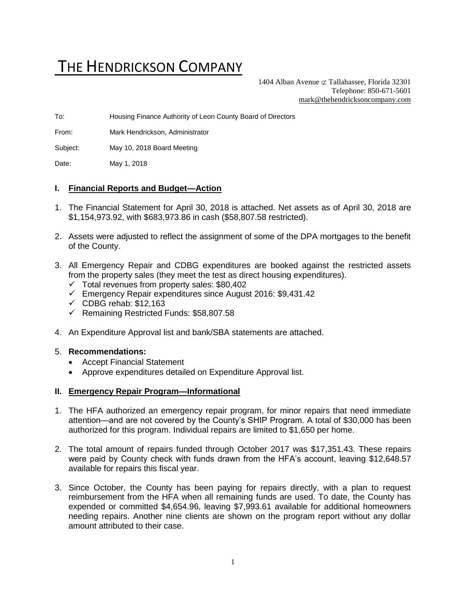# THE HENDRICKSON COMPANY

1404 Alban Avenue  $\subset \text{Tallahasse}$ , Florida 32301 Telephone: 850-671-5601 [mark@thehendricksoncompany.com](mailto:mark@thehendricksoncompany.com)

To: Housing Finance Authority of Leon County Board of Directors

From: Mark Hendrickson, Administrator

Subject: May 10, 2018 Board Meeting

Date: May 1, 2018

#### **I. Financial Reports and Budget—Action**

- 1. The Financial Statement for April 30, 2018 is attached. Net assets as of April 30, 2018 are \$1,154,973.92, with \$683,973.86 in cash (\$58,807.58 restricted).
- 2. Assets were adjusted to reflect the assignment of some of the DPA mortgages to the benefit of the County.
- 3. All Emergency Repair and CDBG expenditures are booked against the restricted assets from the property sales (they meet the test as direct housing expenditures).
	- ✓ Total revenues from property sales: \$80,402
	- ✓ Emergency Repair expenditures since August 2016: \$9,431.42
	- $\checkmark$  CDBG rehab: \$12,163
	- ✓ Remaining Restricted Funds: \$58,807.58
- 4. An Expenditure Approval list and bank/SBA statements are attached.

#### 5. **Recommendations:**

- Accept Financial Statement
- Approve expenditures detailed on Expenditure Approval list.

#### **II. Emergency Repair Program—Informational**

- 1. The HFA authorized an emergency repair program, for minor repairs that need immediate attention—and are not covered by the County's SHIP Program. A total of \$30,000 has been authorized for this program. Individual repairs are limited to \$1,650 per home.
- 2. The total amount of repairs funded through October 2017 was \$17,351.43. These repairs were paid by County check with funds drawn from the HFA's account, leaving \$12,648.57 available for repairs this fiscal year.
- 3. Since October, the County has been paying for repairs directly, with a plan to request reimbursement from the HFA when all remaining funds are used. To date, the County has expended or committed \$4,654.96, leaving \$7,993.61 available for additional homeowners needing repairs. Another nine clients are shown on the program report without any dollar amount attributed to their case.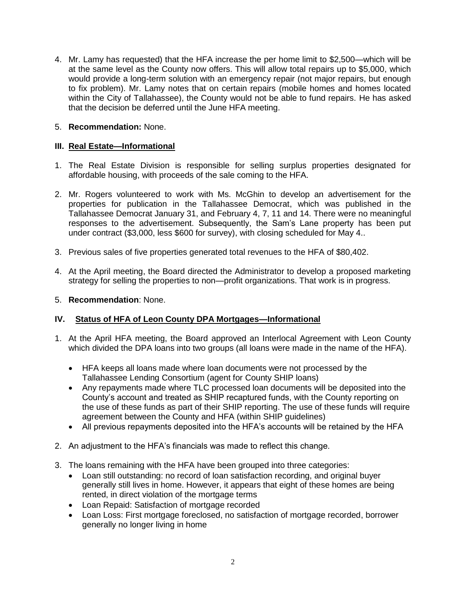4. Mr. Lamy has requested) that the HFA increase the per home limit to \$2,500—which will be at the same level as the County now offers. This will allow total repairs up to \$5,000, which would provide a long-term solution with an emergency repair (not major repairs, but enough to fix problem). Mr. Lamy notes that on certain repairs (mobile homes and homes located within the City of Tallahassee), the County would not be able to fund repairs. He has asked that the decision be deferred until the June HFA meeting.

### 5. **Recommendation:** None.

### **III. Real Estate—Informational**

- 1. The Real Estate Division is responsible for selling surplus properties designated for affordable housing, with proceeds of the sale coming to the HFA.
- 2. Mr. Rogers volunteered to work with Ms. McGhin to develop an advertisement for the properties for publication in the Tallahassee Democrat, which was published in the Tallahassee Democrat January 31, and February 4, 7, 11 and 14. There were no meaningful responses to the advertisement. Subsequently, the Sam's Lane property has been put under contract (\$3,000, less \$600 for survey), with closing scheduled for May 4..
- 3. Previous sales of five properties generated total revenues to the HFA of \$80,402.
- 4. At the April meeting, the Board directed the Administrator to develop a proposed marketing strategy for selling the properties to non—profit organizations. That work is in progress.
- 5. **Recommendation**: None.

## **IV. Status of HFA of Leon County DPA Mortgages—Informational**

- 1. At the April HFA meeting, the Board approved an Interlocal Agreement with Leon County which divided the DPA loans into two groups (all loans were made in the name of the HFA).
	- HFA keeps all loans made where loan documents were not processed by the Tallahassee Lending Consortium (agent for County SHIP loans)
	- Any repayments made where TLC processed loan documents will be deposited into the County's account and treated as SHIP recaptured funds, with the County reporting on the use of these funds as part of their SHIP reporting. The use of these funds will require agreement between the County and HFA (within SHIP guidelines)
	- All previous repayments deposited into the HFA's accounts will be retained by the HFA
- 2. An adjustment to the HFA's financials was made to reflect this change.
- 3. The loans remaining with the HFA have been grouped into three categories:
	- Loan still outstanding: no record of loan satisfaction recording, and original buyer generally still lives in home. However, it appears that eight of these homes are being rented, in direct violation of the mortgage terms
	- Loan Repaid: Satisfaction of mortgage recorded
	- Loan Loss: First mortgage foreclosed, no satisfaction of mortgage recorded, borrower generally no longer living in home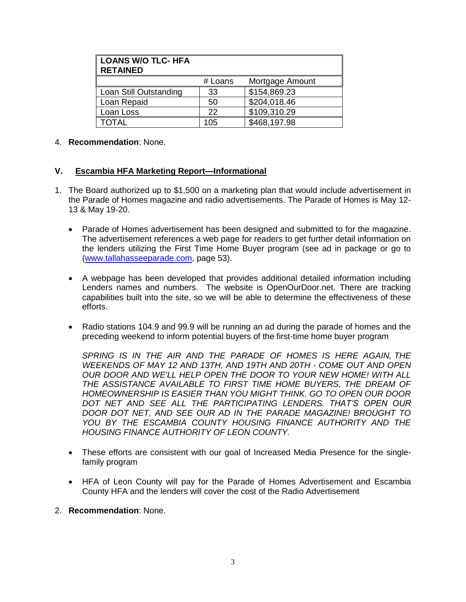| <b>LOANS W/O TLC- HFA</b><br><b>RETAINED</b> |         |                 |
|----------------------------------------------|---------|-----------------|
|                                              | # Loans | Mortgage Amount |
| Loan Still Outstanding                       | 33      | \$154,869.23    |
| Loan Repaid                                  | 50      | \$204,018.46    |
| Loan Loss                                    | 22      | \$109,310.29    |
| <b>TOTAL</b>                                 | 105     | \$468,197.98    |

#### 4. **Recommendation**: None.

#### **V. Escambia HFA Marketing Report—Informational**

- 1. The Board authorized up to \$1,500 on a marketing plan that would include advertisement in the Parade of Homes magazine and radio advertisements. The Parade of Homes is May 12- 13 & May 19-20.
	- Parade of Homes advertisement has been designed and submitted to for the magazine. The advertisement references a web page for readers to get further detail information on the lenders utilizing the First Time Home Buyer program (see ad in package or go to [\(www.tallahasseeparade.com,](http://www.tallahasseeparade.com/) page 53).
	- A webpage has been developed that provides additional detailed information including Lenders names and numbers. The website is OpenOurDoor.net. There are tracking capabilities built into the site, so we will be able to determine the effectiveness of these efforts.
	- Radio stations 104.9 and 99.9 will be running an ad during the parade of homes and the preceding weekend to inform potential buyers of the first-time home buyer program

*SPRING IS IN THE AIR AND THE PARADE OF HOMES IS HERE AGAIN, THE WEEKENDS OF MAY 12 AND 13TH, AND 19TH AND 20TH - COME OUT AND OPEN OUR DOOR AND WE'LL HELP OPEN THE DOOR TO YOUR NEW HOME! WITH ALL*  THE ASSISTANCE AVAILABLE TO FIRST TIME HOME BUYERS, THE DREAM OF *HOMEOWNERSHIP IS EASIER THAN YOU MIGHT THINK. GO TO OPEN OUR DOOR DOT NET AND SEE ALL THE PARTICIPATING LENDERS. THAT'S OPEN OUR DOOR DOT NET, AND SEE OUR AD IN THE PARADE MAGAZINE! BROUGHT TO YOU BY THE ESCAMBIA COUNTY HOUSING FINANCE AUTHORITY AND THE HOUSING FINANCE AUTHORITY OF LEON COUNTY.*

- These efforts are consistent with our goal of Increased Media Presence for the singlefamily program
- HFA of Leon County will pay for the Parade of Homes Advertisement and Escambia County HFA and the lenders will cover the cost of the Radio Advertisement
- 2. **Recommendation**: None.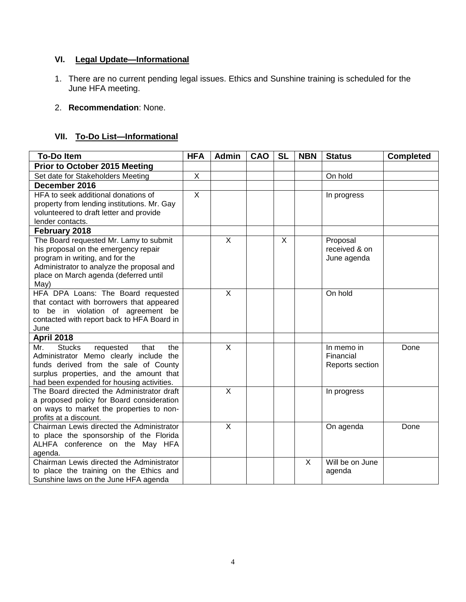# **VI. Legal Update—Informational**

- 1. There are no current pending legal issues. Ethics and Sunshine training is scheduled for the June HFA meeting.
- 2. **Recommendation**: None.

# **VII. To-Do List—Informational**

| <b>To-Do Item</b>                                                                       | <b>HFA</b>   | <b>Admin</b>            | CAO | <b>SL</b> | <b>NBN</b> | <b>Status</b>   | <b>Completed</b> |
|-----------------------------------------------------------------------------------------|--------------|-------------------------|-----|-----------|------------|-----------------|------------------|
| <b>Prior to October 2015 Meeting</b>                                                    |              |                         |     |           |            |                 |                  |
| Set date for Stakeholders Meeting                                                       | X            |                         |     |           |            | On hold         |                  |
| December 2016                                                                           |              |                         |     |           |            |                 |                  |
| HFA to seek additional donations of                                                     | $\mathsf{X}$ |                         |     |           |            | In progress     |                  |
| property from lending institutions. Mr. Gay                                             |              |                         |     |           |            |                 |                  |
| volunteered to draft letter and provide                                                 |              |                         |     |           |            |                 |                  |
| lender contacts.                                                                        |              |                         |     |           |            |                 |                  |
| February 2018                                                                           |              |                         |     |           |            |                 |                  |
| The Board requested Mr. Lamy to submit                                                  |              | X                       |     | X         |            | Proposal        |                  |
| his proposal on the emergency repair                                                    |              |                         |     |           |            | received & on   |                  |
| program in writing, and for the<br>Administrator to analyze the proposal and            |              |                         |     |           |            | June agenda     |                  |
| place on March agenda (deferred until                                                   |              |                         |     |           |            |                 |                  |
| May)                                                                                    |              |                         |     |           |            |                 |                  |
| HFA DPA Loans: The Board requested                                                      |              | $\overline{\mathsf{x}}$ |     |           |            | On hold         |                  |
| that contact with borrowers that appeared                                               |              |                         |     |           |            |                 |                  |
| to be in violation of agreement be                                                      |              |                         |     |           |            |                 |                  |
| contacted with report back to HFA Board in                                              |              |                         |     |           |            |                 |                  |
| June                                                                                    |              |                         |     |           |            |                 |                  |
| <b>April 2018</b>                                                                       |              |                         |     |           |            |                 |                  |
| Mr.<br><b>Stucks</b><br>that<br>the<br>requested                                        |              | X                       |     |           |            | In memo in      | Done             |
| Administrator Memo clearly include the                                                  |              |                         |     |           |            | Financial       |                  |
| funds derived from the sale of County                                                   |              |                         |     |           |            | Reports section |                  |
| surplus properties, and the amount that                                                 |              |                         |     |           |            |                 |                  |
| had been expended for housing activities.<br>The Board directed the Administrator draft |              | $\mathsf{X}$            |     |           |            | In progress     |                  |
| a proposed policy for Board consideration                                               |              |                         |     |           |            |                 |                  |
| on ways to market the properties to non-                                                |              |                         |     |           |            |                 |                  |
| profits at a discount.                                                                  |              |                         |     |           |            |                 |                  |
| Chairman Lewis directed the Administrator                                               |              | $\overline{\mathsf{x}}$ |     |           |            | On agenda       | Done             |
| to place the sponsorship of the Florida                                                 |              |                         |     |           |            |                 |                  |
| ALHFA conference on the May HFA                                                         |              |                         |     |           |            |                 |                  |
| agenda.                                                                                 |              |                         |     |           |            |                 |                  |
| Chairman Lewis directed the Administrator                                               |              |                         |     |           | $\sf X$    | Will be on June |                  |
| to place the training on the Ethics and                                                 |              |                         |     |           |            | agenda          |                  |
| Sunshine laws on the June HFA agenda                                                    |              |                         |     |           |            |                 |                  |